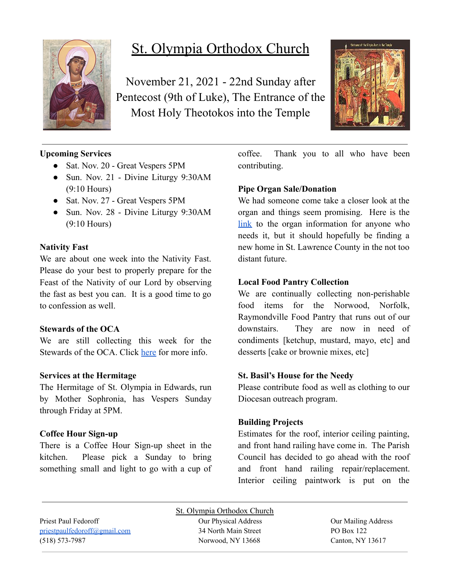

# St. Olympia Orthodox Church

November 21, 2021 - 22nd Sunday after Pentecost (9th of Luke), The Entrance of the Most Holy Theotokos into the Temple



## **Upcoming Services**

- Sat. Nov. 20 Great Vespers 5PM
- Sun. Nov. 21 Divine Liturgy 9:30AM (9:10 Hours)
- Sat. Nov. 27 Great Vespers 5PM
- Sun. Nov. 28 Divine Liturgy 9:30AM (9:10 Hours)

#### **Nativity Fast**

We are about one week into the Nativity Fast. Please do your best to properly prepare for the Feast of the Nativity of our Lord by observing the fast as best you can. It is a good time to go to confession as well.

#### **Stewards of the OCA**

We are still collecting this week for the Stewards of the OCA. Click [here](https://www.oca.org/become-a-steward) for more info.

## **Services at the Hermitage**

The Hermitage of St. Olympia in Edwards, run by Mother Sophronia, has Vespers Sunday through Friday at 5PM.

## **Coffee Hour Sign-up**

There is a Coffee Hour Sign-up sheet in the kitchen. Please pick a Sunday to bring something small and light to go with a cup of coffee. Thank you to all who have been contributing.

## **Pipe Organ Sale/Donation**

We had someone come take a closer look at the organ and things seem promising. Here is the [link](https://www.carlsonorgans.com/carlson-pipe-organ.html?fbclid=IwAR0AP0R6-ZPq_msuHfolTcWBIFhgxMi9NY6dlXykcgRBM4j3qId0FzVWnes) to the organ information for anyone who needs it, but it should hopefully be finding a new home in St. Lawrence County in the not too distant future.

#### **Local Food Pantry Collection**

We are continually collecting non-perishable food items for the Norwood, Norfolk, Raymondville Food Pantry that runs out of our downstairs. They are now in need of condiments [ketchup, mustard, mayo, etc] and desserts [cake or brownie mixes, etc]

## **St. Basil's House for the Needy**

Please contribute food as well as clothing to our Diocesan outreach program.

## **Building Projects**

Estimates for the roof, interior ceiling painting, and front hand railing have come in. The Parish Council has decided to go ahead with the roof and front hand railing repair/replacement. Interior ceiling paintwork is put on the

Priest Paul Fedoroff Our Physical Address Our Mailing Address [priestpaulfedoroff@gmail.com](mailto:priestpaulfedoroff@gmail.com) 34 North Main Street PO Box 122 (518) 573-7987 Norwood, NY 13668 Canton, NY 13617

St. Olympia Orthodox Church